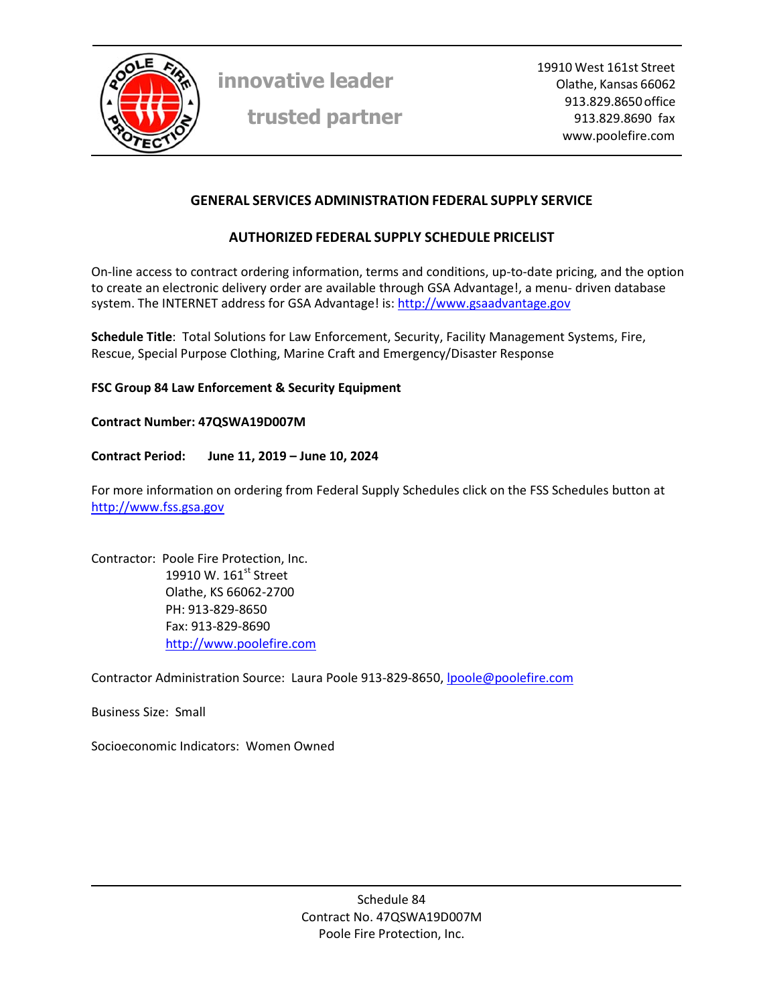

**trusted partner**

19910 West 161st Street Olathe, Kansas 66062 913.829.8650 office 913.829.8690 fax www.poolefire.com

#### **GENERAL SERVICES ADMINISTRATION FEDERAL SUPPLY SERVICE**

## **AUTHORIZED FEDERAL SUPPLY SCHEDULE PRICELIST**

On-line access to contract ordering information, terms and conditions, up-to-date pricing, and the option to create an electronic delivery order are available through GSA Advantage!, a menu‐ driven database system. The INTERNET address for GSA Advantage! is: http://www.gsaadvantage.gov

**Schedule Title**: Total Solutions for Law Enforcement, Security, Facility Management Systems, Fire, Rescue, Special Purpose Clothing, Marine Craft and Emergency/Disaster Response

#### **FSC Group 84 Law Enforcement & Security Equipment**

#### **Contract Number: 47QSWA19D007M**

#### **Contract Period: June 11, 2019 – June 10, 2024**

For more information on ordering from Federal Supply Schedules click on the FSS Schedules button at http://www.fss.gsa.gov

Contractor: Poole Fire Protection, Inc. 19910 W.  $161<sup>st</sup>$  Street Olathe, KS 66062‐2700 PH: 913‐829‐8650 Fax: 913‐829‐8690 http://www.poolefire.com

Contractor Administration Source: Laura Poole 913‐829‐8650, lpoole@poolefire.com

Business Size: Small

Socioeconomic Indicators: Women Owned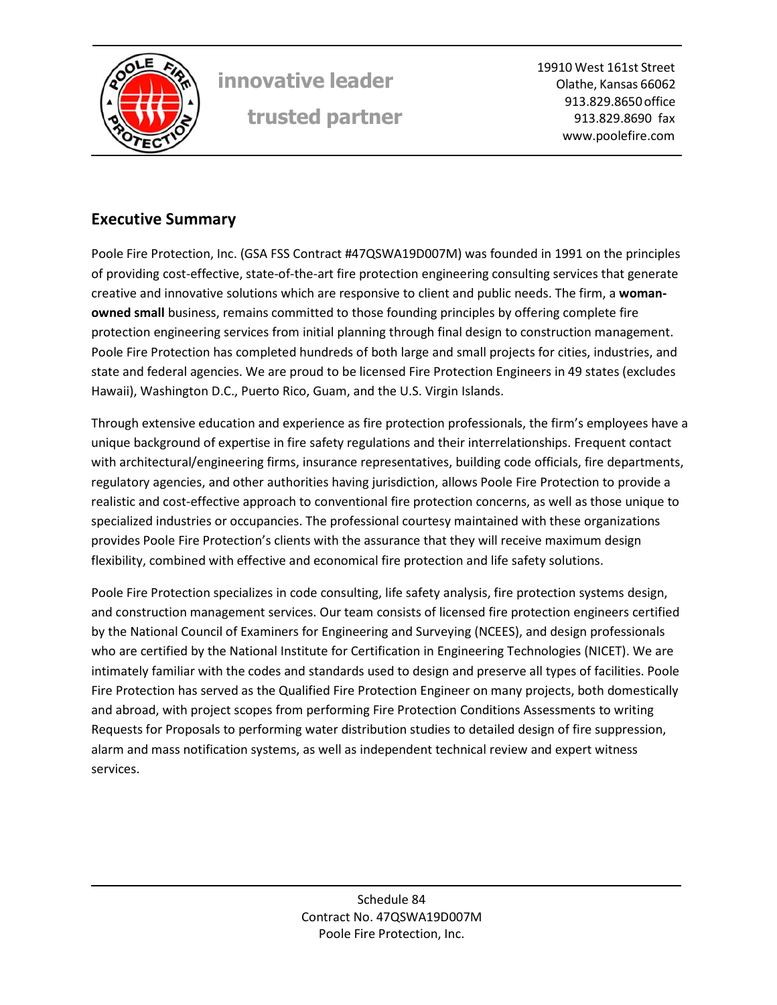

19910 West 161st Street Olathe, Kansas 66062 913.829.8650 office 913.829.8690 fax www.poolefire.com

# **Executive Summary**

Poole Fire Protection, Inc. (GSA FSS Contract #47QSWA19D007M) was founded in 1991 on the principles of providing cost‐effective, state‐of‐the‐art fire protection engineering consulting services that generate creative and innovative solutions which are responsive to client and public needs. The firm, a **woman‐ owned small** business, remains committed to those founding principles by offering complete fire protection engineering services from initial planning through final design to construction management. Poole Fire Protection has completed hundreds of both large and small projects for cities, industries, and state and federal agencies. We are proud to be licensed Fire Protection Engineers in 49 states (excludes Hawaii), Washington D.C., Puerto Rico, Guam, and the U.S. Virgin Islands.

Through extensive education and experience as fire protection professionals, the firm's employees have a unique background of expertise in fire safety regulations and their interrelationships. Frequent contact with architectural/engineering firms, insurance representatives, building code officials, fire departments, regulatory agencies, and other authorities having jurisdiction, allows Poole Fire Protection to provide a realistic and cost‐effective approach to conventional fire protection concerns, as well as those unique to specialized industries or occupancies. The professional courtesy maintained with these organizations provides Poole Fire Protection's clients with the assurance that they will receive maximum design flexibility, combined with effective and economical fire protection and life safety solutions.

Poole Fire Protection specializes in code consulting, life safety analysis, fire protection systems design, and construction management services. Our team consists of licensed fire protection engineers certified by the National Council of Examiners for Engineering and Surveying (NCEES), and design professionals who are certified by the National Institute for Certification in Engineering Technologies (NICET). We are intimately familiar with the codes and standards used to design and preserve all types of facilities. Poole Fire Protection has served as the Qualified Fire Protection Engineer on many projects, both domestically and abroad, with project scopes from performing Fire Protection Conditions Assessments to writing Requests for Proposals to performing water distribution studies to detailed design of fire suppression, alarm and mass notification systems, as well as independent technical review and expert witness services.

> Schedule 84 Contract No. 47QSWA19D007M Poole Fire Protection, Inc.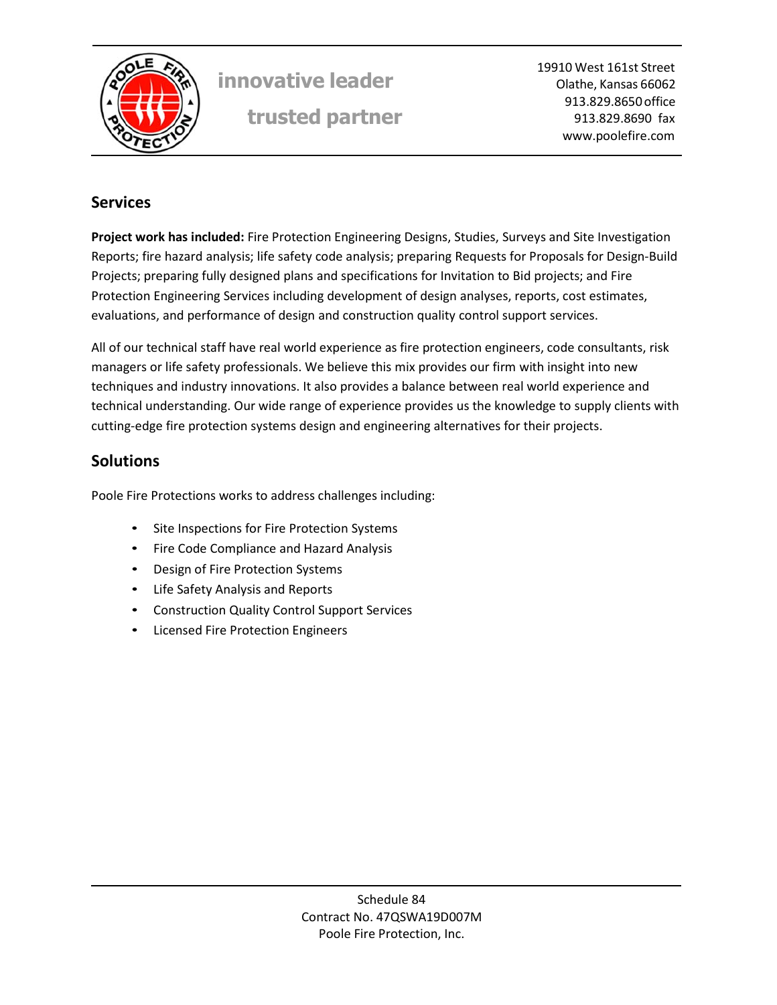

19910 West 161st Street Olathe, Kansas 66062 913.829.8650 office 913.829.8690 fax www.poolefire.com

# **Services**

**Project work has included:** Fire Protection Engineering Designs, Studies, Surveys and Site Investigation Reports; fire hazard analysis; life safety code analysis; preparing Requests for Proposals for Design‐Build Projects; preparing fully designed plans and specifications for Invitation to Bid projects; and Fire Protection Engineering Services including development of design analyses, reports, cost estimates, evaluations, and performance of design and construction quality control support services.

All of our technical staff have real world experience as fire protection engineers, code consultants, risk managers or life safety professionals. We believe this mix provides our firm with insight into new techniques and industry innovations. It also provides a balance between real world experience and technical understanding. Our wide range of experience provides us the knowledge to supply clients with cutting-edge fire protection systems design and engineering alternatives for their projects.

# **Solutions**

Poole Fire Protections works to address challenges including:

- Site Inspections for Fire Protection Systems
- Fire Code Compliance and Hazard Analysis
- Design of Fire Protection Systems
- Life Safety Analysis and Reports
- Construction Quality Control Support Services
- Licensed Fire Protection Engineers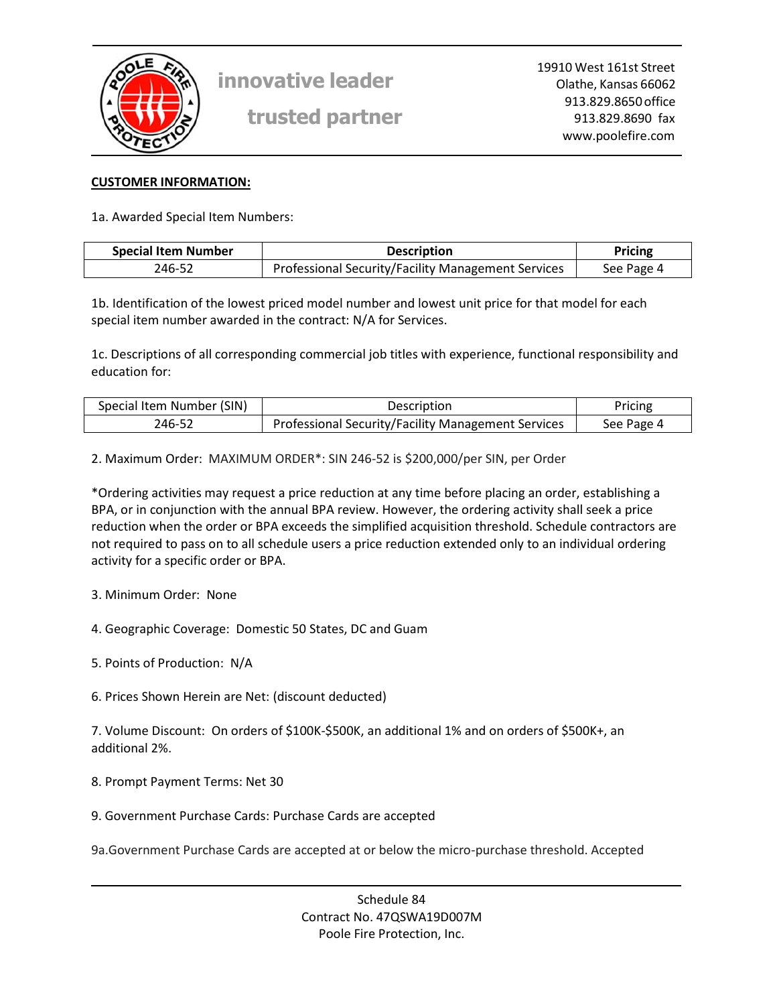

**trusted partner**

#### **CUSTOMER INFORMATION:**

1a. Awarded Special Item Numbers:

| <b>Special Item Number</b> | <b>Description</b>                                 | Pricing    |  |
|----------------------------|----------------------------------------------------|------------|--|
| 246-52                     | Professional Security/Facility Management Services | See Page 4 |  |

1b. Identification of the lowest priced model number and lowest unit price for that model for each special item number awarded in the contract: N/A for Services.

1c. Descriptions of all corresponding commercial job titles with experience, functional responsibility and education for:

| Special Item Number (SIN) | Description                                        | Pricing    |
|---------------------------|----------------------------------------------------|------------|
| 246-52                    | Professional Security/Facility Management Services | See Page 4 |

2. Maximum Order: MAXIMUM ORDER\*: SIN 246‐52 is \$200,000/per SIN, per Order

\*Ordering activities may request a price reduction at any time before placing an order, establishing a BPA, or in conjunction with the annual BPA review. However, the ordering activity shall seek a price reduction when the order or BPA exceeds the simplified acquisition threshold. Schedule contractors are not required to pass on to all schedule users a price reduction extended only to an individual ordering activity for a specific order or BPA.

- 3. Minimum Order: None
- 4. Geographic Coverage: Domestic 50 States, DC and Guam
- 5. Points of Production: N/A
- 6. Prices Shown Herein are Net: (discount deducted)

7. Volume Discount: On orders of \$100K‐\$500K, an additional 1% and on orders of \$500K+, an additional 2%.

- 8. Prompt Payment Terms: Net 30
- 9. Government Purchase Cards: Purchase Cards are accepted

9a.Government Purchase Cards are accepted at or below the micro‐purchase threshold. Accepted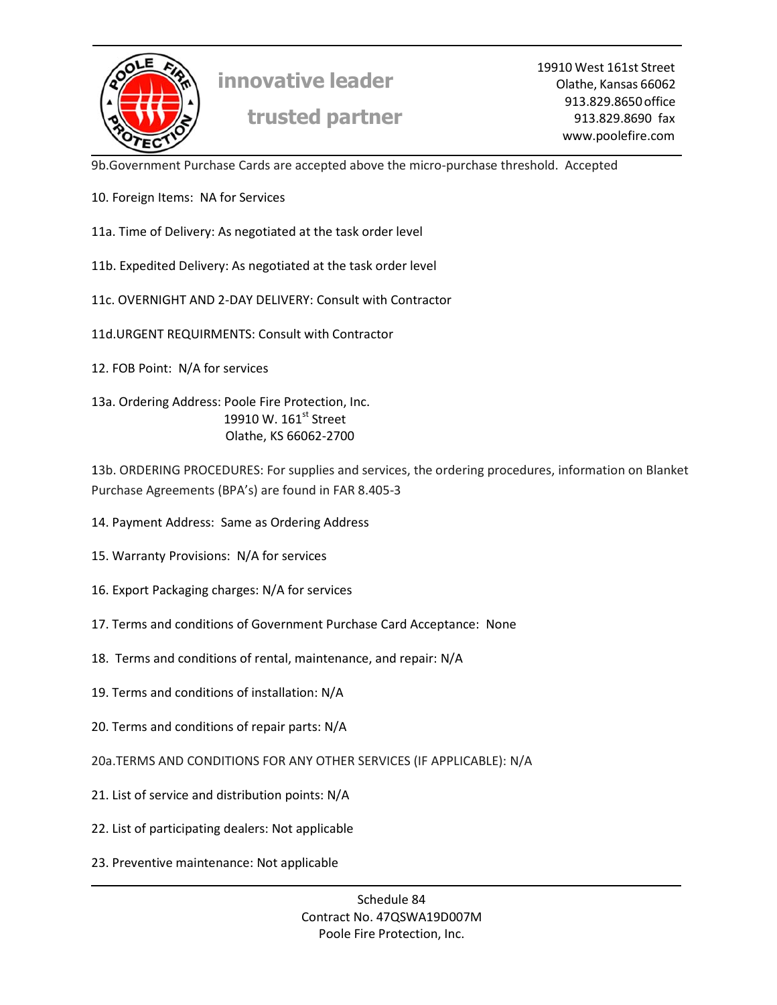

19910 West 161st Street Olathe, Kansas 66062 913.829.8650 office 913.829.8690 fax www.poolefire.com

9b.Government Purchase Cards are accepted above the micro‐purchase threshold. Accepted

- 10. Foreign Items: NA for Services
- 11a. Time of Delivery: As negotiated at the task order level
- 11b. Expedited Delivery: As negotiated at the task order level
- 11c. OVERNIGHT AND 2‐DAY DELIVERY: Consult with Contractor
- 11d.URGENT REQUIRMENTS: Consult with Contractor
- 12. FOB Point: N/A for services

13a. Ordering Address: Poole Fire Protection, Inc. 19910 W. 161st Street Olathe, KS 66062‐2700

13b. ORDERING PROCEDURES: For supplies and services, the ordering procedures, information on Blanket Purchase Agreements (BPA's) are found in FAR 8.405‐3

- 14. Payment Address: Same as Ordering Address
- 15. Warranty Provisions: N/A for services
- 16. Export Packaging charges: N/A for services
- 17. Terms and conditions of Government Purchase Card Acceptance: None
- 18. Terms and conditions of rental, maintenance, and repair: N/A
- 19. Terms and conditions of installation: N/A
- 20. Terms and conditions of repair parts: N/A
- 20a.TERMS AND CONDITIONS FOR ANY OTHER SERVICES (IF APPLICABLE): N/A
- 21. List of service and distribution points: N/A
- 22. List of participating dealers: Not applicable
- 23. Preventive maintenance: Not applicable

Schedule 84 Contract No. 47QSWA19D007M Poole Fire Protection, Inc.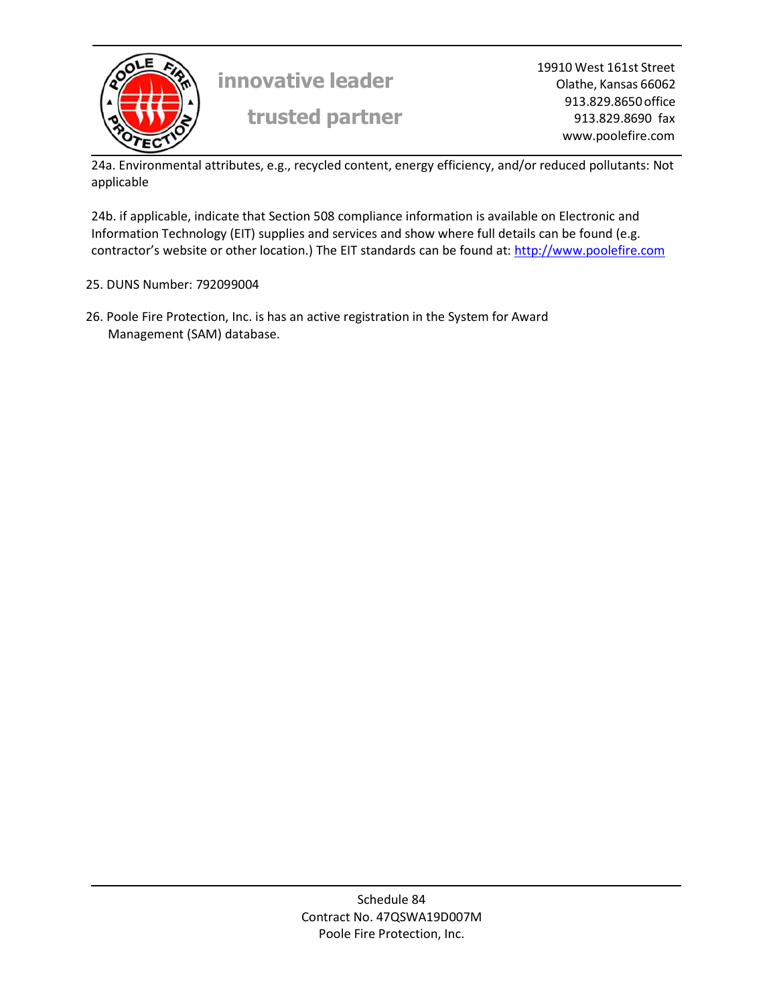

19910 West 161st Street Olathe, Kansas 66062 913.829.8650 office 913.829.8690 fax www.poolefire.com

24a. Environmental attributes, e.g., recycled content, energy efficiency, and/or reduced pollutants: Not applicable

24b. if applicable, indicate that Section 508 compliance information is available on Electronic and Information Technology (EIT) supplies and services and show where full details can be found (e.g. contractor's website or other location.) The EIT standards can be found at: http://www.poolefire.com

#### 25. DUNS Number: 792099004

26. Poole Fire Protection, Inc. is has an active registration in the System for Award Management (SAM) database.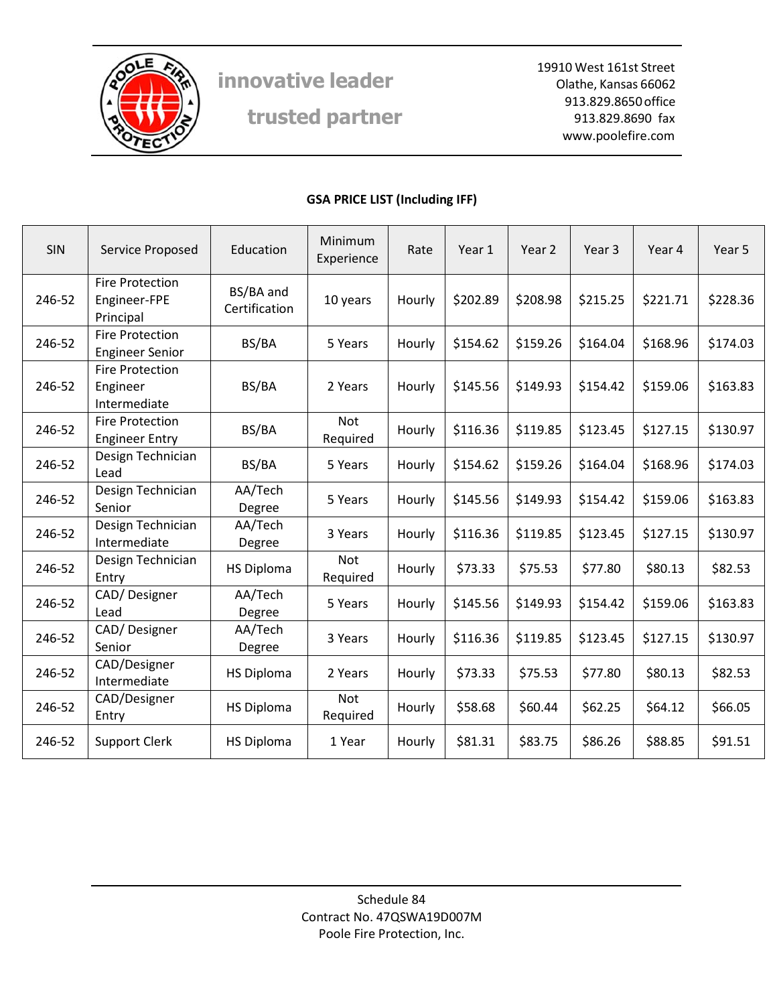

**trusted partner**

19910 West 161st Street Olathe, Kansas 66062 913.829.8650 office 913.829.8690 fax www.poolefire.com

## **GSA PRICE LIST (Including IFF)**

| <b>SIN</b> | Service Proposed                                    | Education                  | Minimum<br>Experience  | Rate   | Year 1   | Year 2   | Year 3   | Year 4   | Year 5   |
|------------|-----------------------------------------------------|----------------------------|------------------------|--------|----------|----------|----------|----------|----------|
| 246-52     | <b>Fire Protection</b><br>Engineer-FPE<br>Principal | BS/BA and<br>Certification | 10 years               | Hourly | \$202.89 | \$208.98 | \$215.25 | \$221.71 | \$228.36 |
| 246-52     | <b>Fire Protection</b><br><b>Engineer Senior</b>    | BS/BA                      | 5 Years                | Hourly | \$154.62 | \$159.26 | \$164.04 | \$168.96 | \$174.03 |
| 246-52     | <b>Fire Protection</b><br>Engineer<br>Intermediate  | BS/BA                      | 2 Years                | Hourly | \$145.56 | \$149.93 | \$154.42 | \$159.06 | \$163.83 |
| 246-52     | <b>Fire Protection</b><br><b>Engineer Entry</b>     | BS/BA                      | <b>Not</b><br>Required | Hourly | \$116.36 | \$119.85 | \$123.45 | \$127.15 | \$130.97 |
| 246-52     | Design Technician<br>Lead                           | BS/BA                      | 5 Years                | Hourly | \$154.62 | \$159.26 | \$164.04 | \$168.96 | \$174.03 |
| 246-52     | Design Technician<br>Senior                         | AA/Tech<br>Degree          | 5 Years                | Hourly | \$145.56 | \$149.93 | \$154.42 | \$159.06 | \$163.83 |
| 246-52     | Design Technician<br>Intermediate                   | AA/Tech<br>Degree          | 3 Years                | Hourly | \$116.36 | \$119.85 | \$123.45 | \$127.15 | \$130.97 |
| 246-52     | Design Technician<br>Entry                          | <b>HS Diploma</b>          | <b>Not</b><br>Required | Hourly | \$73.33  | \$75.53  | \$77.80  | \$80.13  | \$82.53  |
| 246-52     | CAD/Designer<br>Lead                                | AA/Tech<br>Degree          | 5 Years                | Hourly | \$145.56 | \$149.93 | \$154.42 | \$159.06 | \$163.83 |
| 246-52     | CAD/Designer<br>Senior                              | AA/Tech<br>Degree          | 3 Years                | Hourly | \$116.36 | \$119.85 | \$123.45 | \$127.15 | \$130.97 |
| 246-52     | CAD/Designer<br>Intermediate                        | <b>HS Diploma</b>          | 2 Years                | Hourly | \$73.33  | \$75.53  | \$77.80  | \$80.13  | \$82.53  |
| 246-52     | CAD/Designer<br>Entry                               | <b>HS Diploma</b>          | Not<br>Required        | Hourly | \$58.68  | \$60.44  | \$62.25  | \$64.12  | \$66.05  |
| 246-52     | <b>Support Clerk</b>                                | <b>HS Diploma</b>          | 1 Year                 | Hourly | \$81.31  | \$83.75  | \$86.26  | \$88.85  | \$91.51  |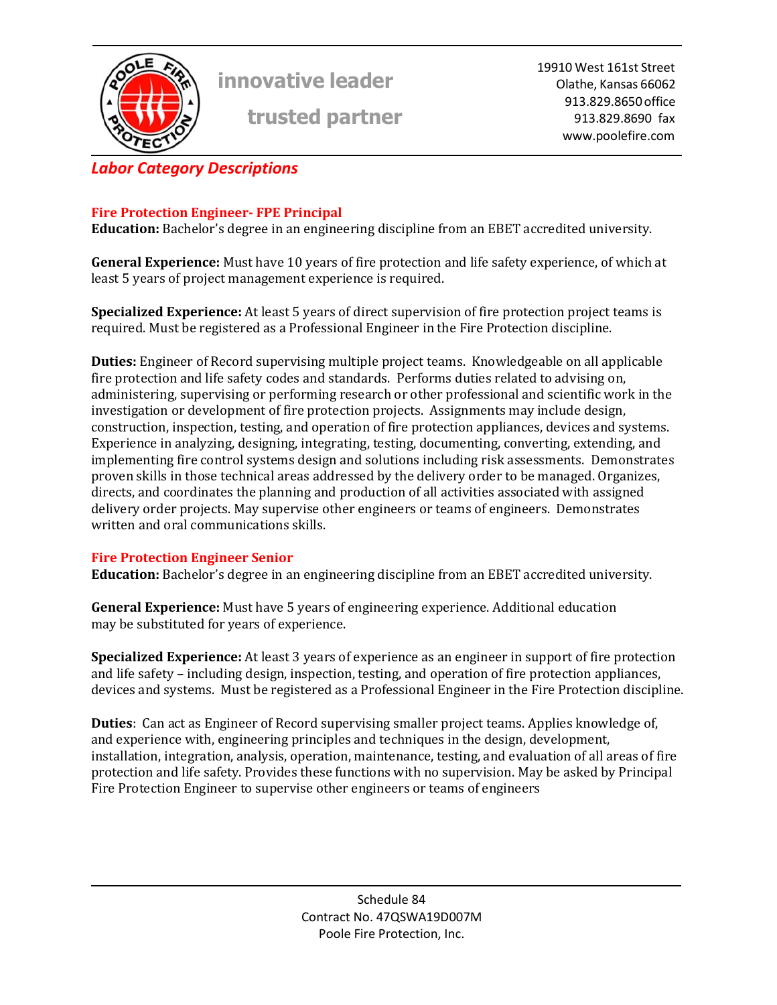

**trusted partner**

19910 West 161st Street Olathe, Kansas 66062 913.829.8650 office 913.829.8690 fax www.poolefire.com

# *Labor Category Descriptions*

# **Fire Protection Engineer‐ FPE Principal**

**Education:** Bachelor's degree in an engineering discipline from an EBET accredited university.

**General Experience:** Must have 10 years of fire protection and life safety experience, of which at least 5 years of project management experience is required.

**Specialized Experience:** At least 5 years of direct supervision of fire protection project teams is required. Must be registered as a Professional Engineer in the Fire Protection discipline.

**Duties:** Engineer of Record supervising multiple project teams. Knowledgeable on all applicable fire protection and life safety codes and standards. Performs duties related to advising on, administering, supervising or performing research or other professional and scientific work in the investigation or development of fire protection projects. Assignments may include design, construction, inspection, testing, and operation of fire protection appliances, devices and systems. Experience in analyzing, designing, integrating, testing, documenting, converting, extending, and implementing fire control systems design and solutions including risk assessments. Demonstrates proven skills in those technical areas addressed by the delivery order to be managed. Organizes, directs, and coordinates the planning and production of all activities associated with assigned delivery order projects. May supervise other engineers or teams of engineers. Demonstrates written and oral communications skills.

## **Fire Protection Engineer Senior**

**Education:** Bachelor's degree in an engineering discipline from an EBET accredited university.

**General Experience:** Must have 5 years of engineering experience. Additional education may be substituted for years of experience.

**Specialized Experience:** At least 3 years of experience as an engineer in support of fire protection and life safety – including design, inspection, testing, and operation of fire protection appliances, devices and systems. Must be registered as a Professional Engineer in the Fire Protection discipline.

**Duties**: Can act as Engineer of Record supervising smaller project teams. Applies knowledge of, and experience with, engineering principles and techniques in the design, development, installation, integration, analysis, operation, maintenance, testing, and evaluation of all areas of fire protection and life safety. Provides these functions with no supervision. May be asked by Principal Fire Protection Engineer to supervise other engineers or teams of engineers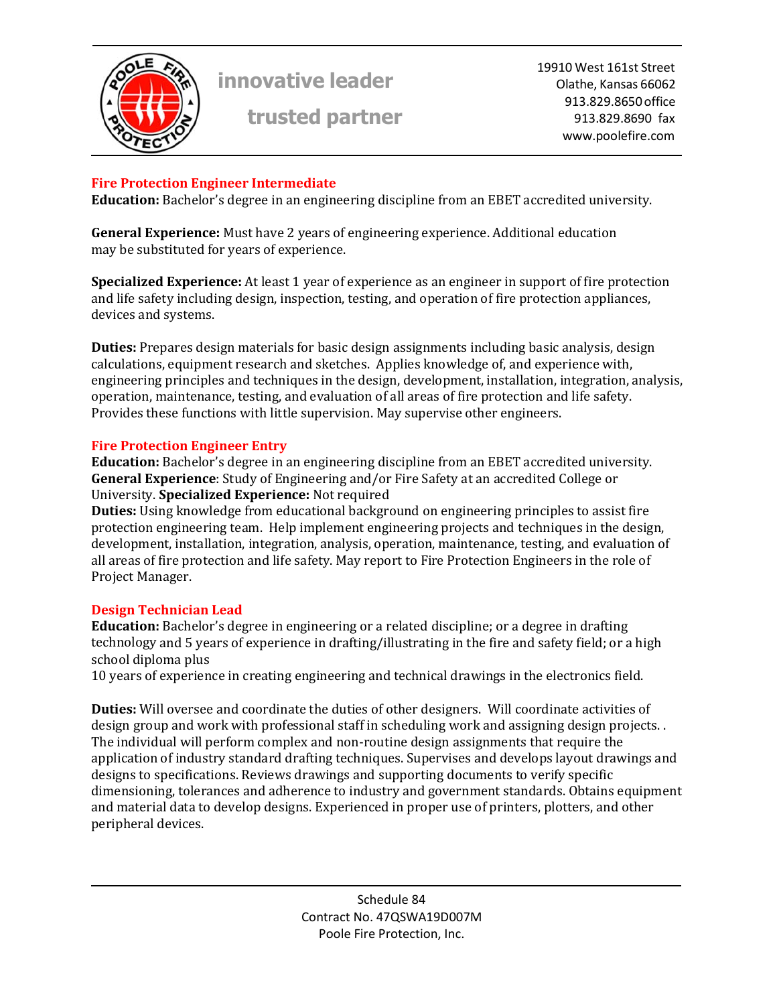

**trusted partner**

19910 West 161st Street Olathe, Kansas 66062 913.829.8650 office 913.829.8690 fax www.poolefire.com

## **Fire Protection Engineer Intermediate**

**Education:** Bachelor's degree in an engineering discipline from an EBET accredited university.

**General Experience:** Must have 2 years of engineering experience. Additional education may be substituted for years of experience.

**Specialized Experience:** At least 1 year of experience as an engineer in support of fire protection and life safety including design, inspection, testing, and operation of fire protection appliances, devices and systems.

**Duties:** Prepares design materials for basic design assignments including basic analysis, design calculations, equipment research and sketches. Applies knowledge of, and experience with, engineering principles and techniques in the design, development, installation, integration, analysis, operation, maintenance, testing, and evaluation of all areas of fire protection and life safety. Provides these functions with little supervision. May supervise other engineers.

#### **Fire Protection Engineer Entry**

**Education:** Bachelor's degree in an engineering discipline from an EBET accredited university. **General Experience**: Study of Engineering and/or Fire Safety at an accredited College or University. **Specialized Experience:** Not required

**Duties:** Using knowledge from educational background on engineering principles to assist fire protection engineering team. Help implement engineering projects and techniques in the design, development, installation, integration, analysis, operation, maintenance, testing, and evaluation of all areas of fire protection and life safety. May report to Fire Protection Engineers in the role of Project Manager.

## **Design Technician Lead**

**Education:** Bachelor's degree in engineering or a related discipline; or a degree in drafting technology and 5 years of experience in drafting/illustrating in the fire and safety field; or a high school diploma plus

10 years of experience in creating engineering and technical drawings in the electronics field.

**Duties:** Will oversee and coordinate the duties of other designers. Will coordinate activities of design group and work with professional staff in scheduling work and assigning design projects. . The individual will perform complex and non-routine design assignments that require the application of industry standard drafting techniques. Supervises and develops layout drawings and designs to specifications. Reviews drawings and supporting documents to verify specific dimensioning, tolerances and adherence to industry and government standards. Obtains equipment and material data to develop designs. Experienced in proper use of printers, plotters, and other peripheral devices.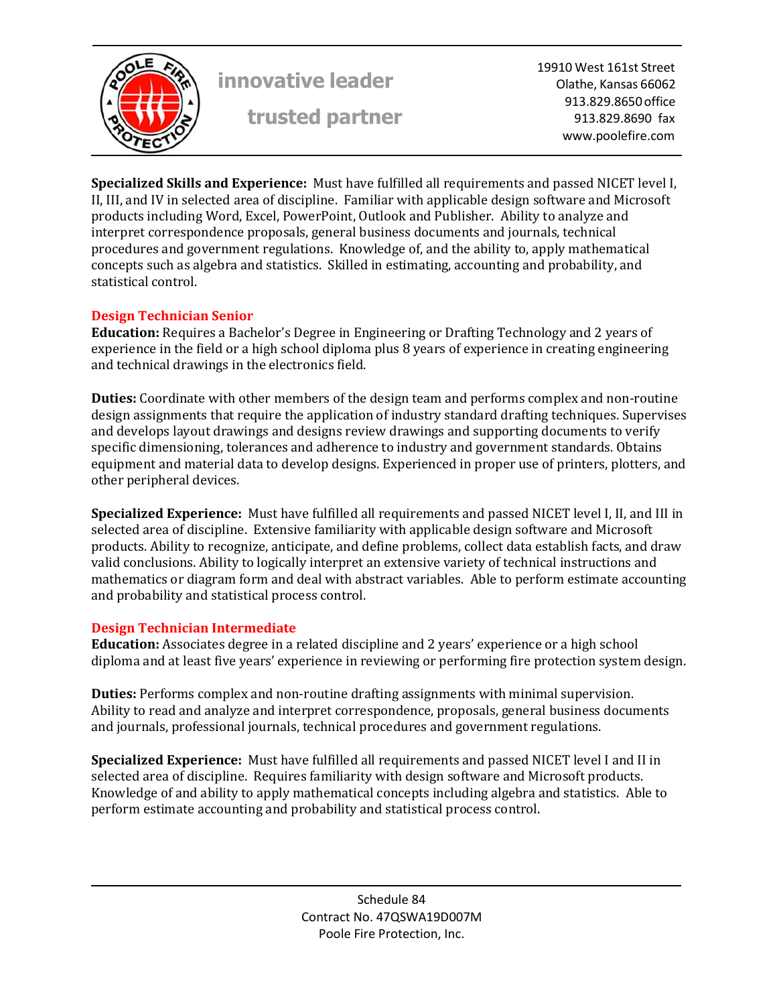

19910 West 161st Street Olathe, Kansas 66062 913.829.8650 office 913.829.8690 fax www.poolefire.com

**Specialized Skills and Experience:** Must have fulfilled all requirements and passed NICET level I, II, III, and IV in selected area of discipline. Familiar with applicable design software and Microsoft products including Word, Excel, PowerPoint, Outlook and Publisher. Ability to analyze and interpret correspondence proposals, general business documents and journals, technical procedures and government regulations. Knowledge of, and the ability to, apply mathematical concepts such as algebra and statistics. Skilled in estimating, accounting and probability, and statistical control.

#### **Design Technician Senior**

**Education:** Requires a Bachelor's Degree in Engineering or Drafting Technology and 2 years of experience in the field or a high school diploma plus 8 years of experience in creating engineering and technical drawings in the electronics field.

**Duties:** Coordinate with other members of the design team and performs complex and non-routine design assignments that require the application of industry standard drafting techniques. Supervises and develops layout drawings and designs review drawings and supporting documents to verify specific dimensioning, tolerances and adherence to industry and government standards. Obtains equipment and material data to develop designs. Experienced in proper use of printers, plotters, and other peripheral devices.

**Specialized Experience:** Must have fulfilled all requirements and passed NICET level I, II, and III in selected area of discipline. Extensive familiarity with applicable design software and Microsoft products. Ability to recognize, anticipate, and define problems, collect data establish facts, and draw valid conclusions. Ability to logically interpret an extensive variety of technical instructions and mathematics or diagram form and deal with abstract variables. Able to perform estimate accounting and probability and statistical process control.

## **Design Technician Intermediate**

**Education:** Associates degree in a related discipline and 2 years' experience or a high school diploma and at least five years' experience in reviewing or performing fire protection system design.

**Duties:** Performs complex and non-routine drafting assignments with minimal supervision. Ability to read and analyze and interpret correspondence, proposals, general business documents and journals, professional journals, technical procedures and government regulations.

**Specialized Experience:** Must have fulfilled all requirements and passed NICET level I and II in selected area of discipline. Requires familiarity with design software and Microsoft products. Knowledge of and ability to apply mathematical concepts including algebra and statistics. Able to perform estimate accounting and probability and statistical process control.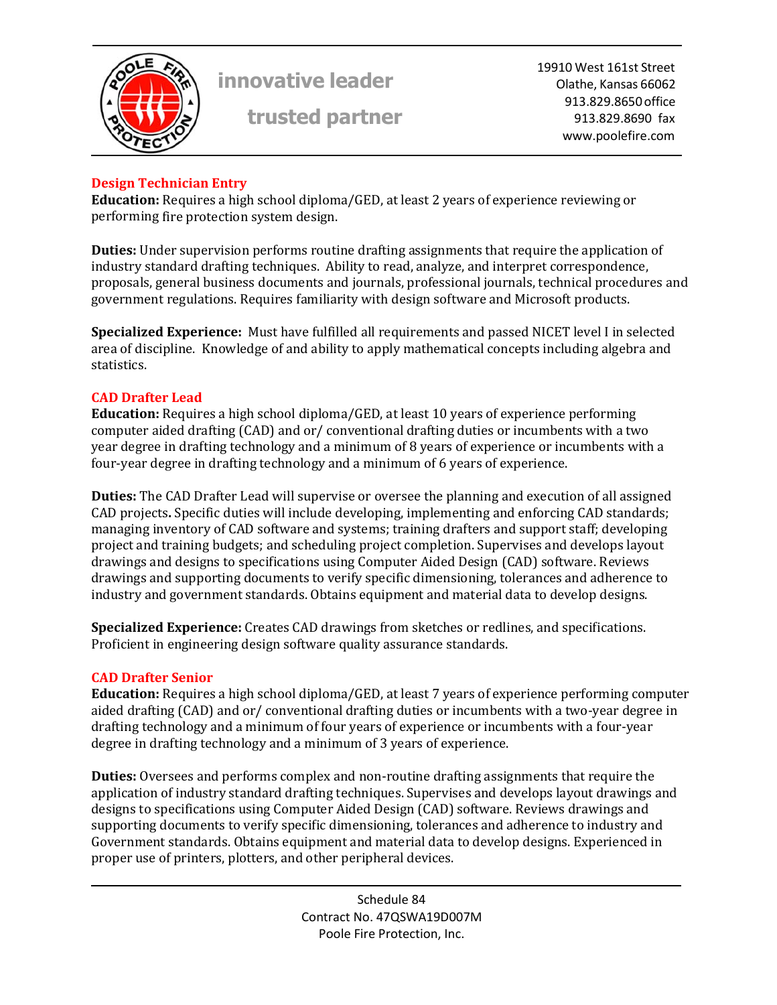

**trusted partner**

19910 West 161st Street Olathe, Kansas 66062 913.829.8650 office 913.829.8690 fax www.poolefire.com

# **Design Technician Entry**

**Education:** Requires a high school diploma/GED, at least 2 years of experience reviewing or performing fire protection system design.

**Duties:** Under supervision performs routine drafting assignments that require the application of industry standard drafting techniques. Ability to read, analyze, and interpret correspondence, proposals, general business documents and journals, professional journals, technical procedures and government regulations. Requires familiarity with design software and Microsoft products.

**Specialized Experience:** Must have fulfilled all requirements and passed NICET level I in selected area of discipline. Knowledge of and ability to apply mathematical concepts including algebra and statistics.

## **CAD Drafter Lead**

**Education:** Requires a high school diploma/GED, at least 10 years of experience performing computer aided drafting (CAD) and or/ conventional drafting duties or incumbents with a two year degree in drafting technology and a minimum of 8 years of experience or incumbents with a four-year degree in drafting technology and a minimum of 6 years of experience.

**Duties:** The CAD Drafter Lead will supervise or oversee the planning and execution of all assigned CAD projects**.** Specific duties will include developing, implementing and enforcing CAD standards; managing inventory of CAD software and systems; training drafters and support staff; developing project and training budgets; and scheduling project completion. Supervises and develops layout drawings and designs to specifications using Computer Aided Design (CAD) software. Reviews drawings and supporting documents to verify specific dimensioning, tolerances and adherence to industry and government standards. Obtains equipment and material data to develop designs.

**Specialized Experience:** Creates CAD drawings from sketches or redlines, and specifications. Proficient in engineering design software quality assurance standards.

## **CAD Drafter Senior**

**Education:** Requires a high school diploma/GED, at least 7 years of experience performing computer aided drafting (CAD) and or/ conventional drafting duties or incumbents with a two-year degree in drafting technology and a minimum of four years of experience or incumbents with a four-year degree in drafting technology and a minimum of 3 years of experience.

**Duties:** Oversees and performs complex and non-routine drafting assignments that require the application of industry standard drafting techniques. Supervises and develops layout drawings and designs to specifications using Computer Aided Design (CAD) software. Reviews drawings and supporting documents to verify specific dimensioning, tolerances and adherence to industry and Government standards. Obtains equipment and material data to develop designs. Experienced in proper use of printers, plotters, and other peripheral devices.